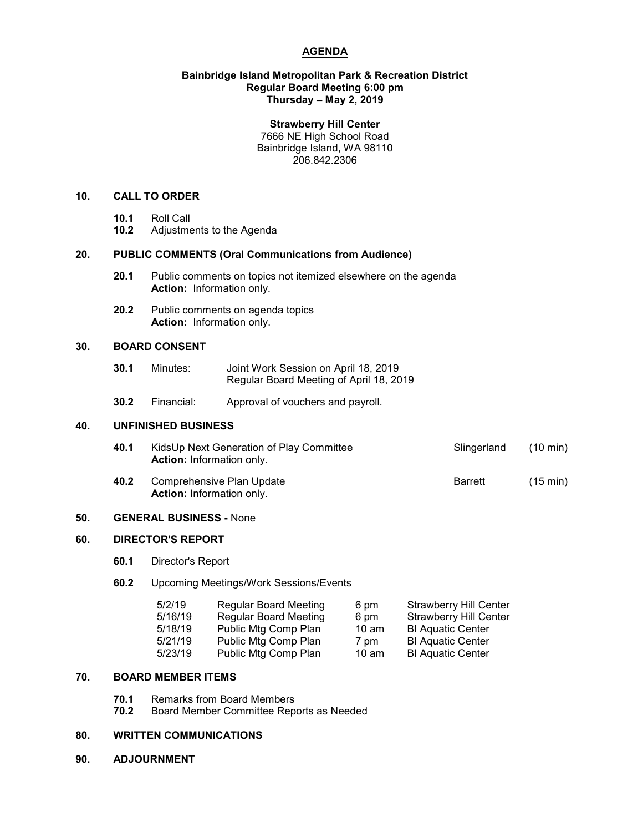## **AGENDA**

#### **Bainbridge Island Metropolitan Park & Recreation District Regular Board Meeting 6:00 pm Thursday – May 2, 2019**

#### **Strawberry Hill Center**

7666 NE High School Road Bainbridge Island, WA 98110 206.842.2306

## **10. CALL TO ORDER**

- 
- **10.1** Roll Call **10.2** Adjustments to the Agenda

## **20. PUBLIC COMMENTS (Oral Communications from Audience)**

- **20.1** Public comments on topics not itemized elsewhere on the agenda **Action:** Information only.
- **20.2** Public comments on agenda topics **Action:** Information only.

## **30. BOARD CONSENT**

- **30.1** Minutes: Joint Work Session on April 18, 2019 Regular Board Meeting of April 18, 2019
- **30.2** Financial: Approval of vouchers and payroll.

#### **40. UNFINISHED BUSINESS**

- **40.1** KidsUp Next Generation of Play Committee **Slingerland** (10 min) **Action:** Information only.
- **40.2** Comprehensive Plan Update **Barrett** (15 min) **Action:** Information only.

## **50. GENERAL BUSINESS -** None

# **60. DIRECTOR'S REPORT**

**60.1** Director's Report

## **60.2** Upcoming Meetings/Work Sessions/Events

| <b>Regular Board Meeting</b> | 6 pm            | <b>Strawberry Hill Center</b> |
|------------------------------|-----------------|-------------------------------|
| <b>Regular Board Meeting</b> | 6 pm            | <b>Strawberry Hill Center</b> |
| Public Mtg Comp Plan         | $10 \text{ am}$ | <b>BI Aquatic Center</b>      |
| Public Mtg Comp Plan         | 7 pm            | <b>BI Aquatic Center</b>      |
| Public Mtg Comp Plan         | $10 \text{ am}$ | <b>BI Aquatic Center</b>      |
|                              |                 |                               |

## **70. BOARD MEMBER ITEMS**

- **70.1** Remarks from Board Members
- **70.2** Board Member Committee Reports as Needed

#### **80. WRITTEN COMMUNICATIONS**

**90. ADJOURNMENT**